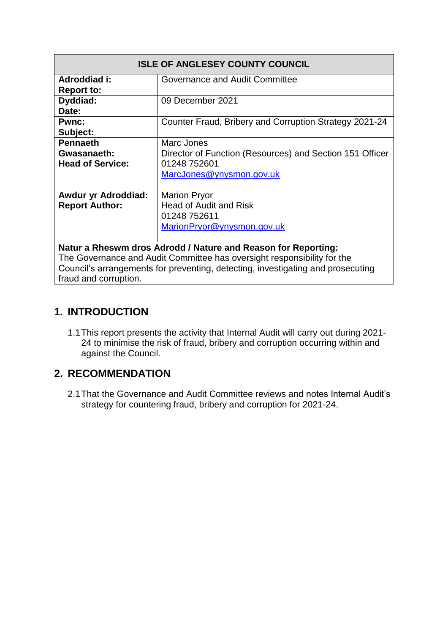| <b>ISLE OF ANGLESEY COUNTY COUNCIL</b>                                          |                                                          |
|---------------------------------------------------------------------------------|----------------------------------------------------------|
| Adroddiad i:                                                                    | Governance and Audit Committee                           |
| <b>Report to:</b>                                                               |                                                          |
| Dyddiad:                                                                        | 09 December 2021                                         |
| Date:                                                                           |                                                          |
| <b>Pwnc:</b>                                                                    | Counter Fraud, Bribery and Corruption Strategy 2021-24   |
| Subject:                                                                        |                                                          |
| <b>Pennaeth</b>                                                                 | Marc Jones                                               |
| Gwasanaeth:                                                                     | Director of Function (Resources) and Section 151 Officer |
| <b>Head of Service:</b>                                                         | 01248 752601                                             |
|                                                                                 | MarcJones@ynysmon.gov.uk                                 |
|                                                                                 |                                                          |
| <b>Awdur yr Adroddiad:</b>                                                      | <b>Marion Pryor</b>                                      |
| <b>Report Author:</b>                                                           | <b>Head of Audit and Risk</b>                            |
|                                                                                 | 01248 752611                                             |
|                                                                                 | MarionPryor@ynysmon.gov.uk                               |
|                                                                                 |                                                          |
| Natur a Rheswm dros Adrodd / Nature and Reason for Reporting:                   |                                                          |
| The Governance and Audit Committee has oversight responsibility for the         |                                                          |
| Council's arrangements for preventing, detecting, investigating and prosecuting |                                                          |
| fraud and corruption.                                                           |                                                          |

### **1. INTRODUCTION**

1.1This report presents the activity that Internal Audit will carry out during 2021- 24 to minimise the risk of fraud, bribery and corruption occurring within and against the Council.

### **2. RECOMMENDATION**

2.1That the Governance and Audit Committee reviews and notes Internal Audit's strategy for countering fraud, bribery and corruption for 2021-24.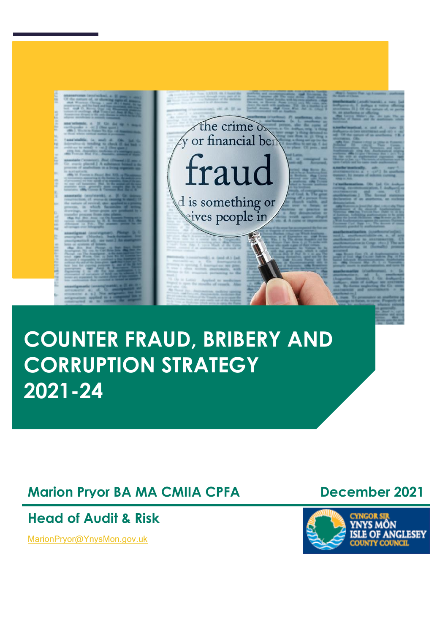

the crime de

d is something or<br>sives people in

# **COUNTER FRAUD, BRIBERY AND CORRUPTION STRATEGY 2021-24**

**Marion Pryor BA MA CMIIA CPFA December 2021** 

**Head of Audit & Risk**

[MarionPryor@YnysMon.gov.uk](mailto:MarionPryor@YnysMon.gov.uk)

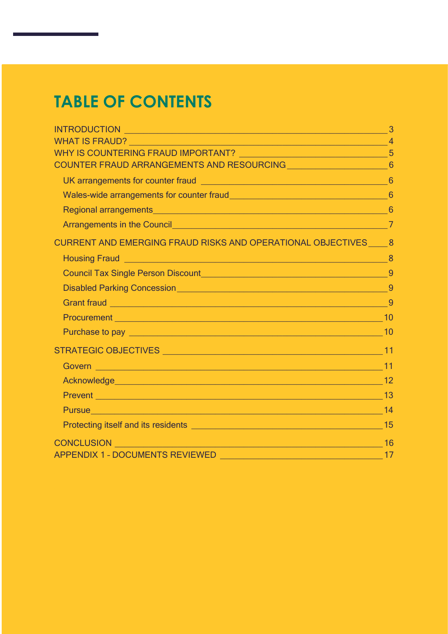## **TABLE OF CONTENTS**

| COUNTER FRAUD ARRANGEMENTS AND RESOURCING COUNTER FRAUD ARRANGEMENTS AND RESOURCING                                                       |  |
|-------------------------------------------------------------------------------------------------------------------------------------------|--|
|                                                                                                                                           |  |
|                                                                                                                                           |  |
| Regional arrangements 6                                                                                                                   |  |
|                                                                                                                                           |  |
| CURRENT AND EMERGING FRAUD RISKS AND OPERATIONAL OBJECTIVES __ 8                                                                          |  |
|                                                                                                                                           |  |
| Council Tax Single Person Discount<br>9                                                                                                   |  |
|                                                                                                                                           |  |
|                                                                                                                                           |  |
|                                                                                                                                           |  |
|                                                                                                                                           |  |
|                                                                                                                                           |  |
|                                                                                                                                           |  |
|                                                                                                                                           |  |
|                                                                                                                                           |  |
|                                                                                                                                           |  |
|                                                                                                                                           |  |
| <u> 16 میں اس کے مطابق میں اس کے مطابق میں اس کے مطابق میں اس کے مطابق میں اس کے مطابق میں اس کے مطابق میں اس کے</u><br><b>CONCLUSION</b> |  |
| APPENDIX 1 - DOCUMENTS REVIEWED                                                                                                           |  |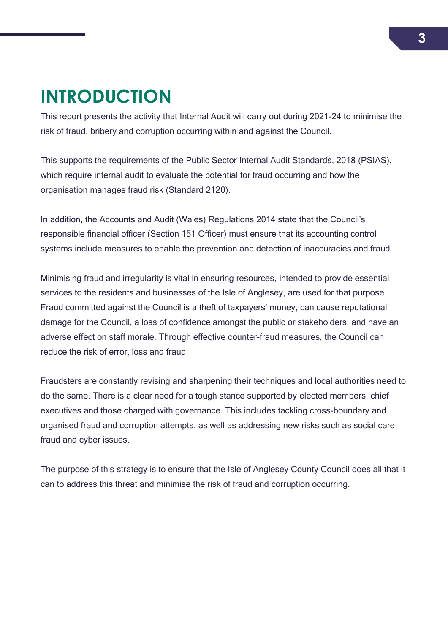## <span id="page-3-0"></span>**INTRODUCTION**

This report presents the activity that Internal Audit will carry out during 2021-24 to minimise the risk of fraud, bribery and corruption occurring within and against the Council.

This supports the requirements of the Public Sector Internal Audit Standards, 2018 (PSIAS), which require internal audit to evaluate the potential for fraud occurring and how the organisation manages fraud risk (Standard 2120).

In addition, the Accounts and Audit (Wales) Regulations 2014 state that the Council's responsible financial officer (Section 151 Officer) must ensure that its accounting control systems include measures to enable the prevention and detection of inaccuracies and fraud.

Minimising fraud and irregularity is vital in ensuring resources, intended to provide essential services to the residents and businesses of the Isle of Anglesey, are used for that purpose. Fraud committed against the Council is a theft of taxpayers' money, can cause reputational damage for the Council, a loss of confidence amongst the public or stakeholders, and have an adverse effect on staff morale. Through effective counter-fraud measures, the Council can reduce the risk of error, loss and fraud.

Fraudsters are constantly revising and sharpening their techniques and local authorities need to do the same. There is a clear need for a tough stance supported by elected members, chief executives and those charged with governance. This includes tackling cross-boundary and organised fraud and corruption attempts, as well as addressing new risks such as social care fraud and cyber issues.

The purpose of this strategy is to ensure that the Isle of Anglesey County Council does all that it can to address this threat and minimise the risk of fraud and corruption occurring.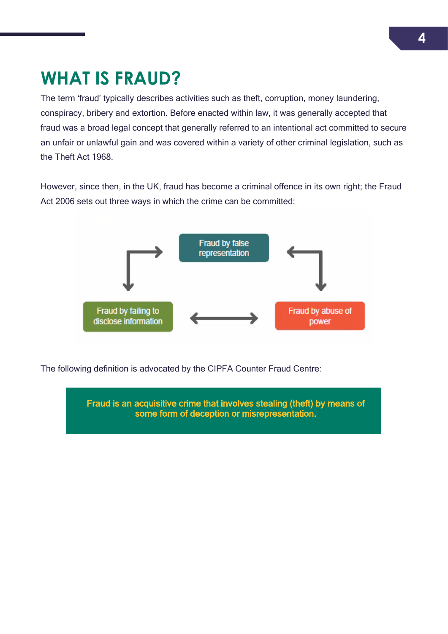## <span id="page-4-0"></span>**WHAT IS FRAUD?**

The term 'fraud' typically describes activities such as theft, corruption, money laundering, conspiracy, bribery and extortion. Before enacted within law, it was generally accepted that fraud was a broad legal concept that generally referred to an intentional act committed to secure an unfair or unlawful gain and was covered within a variety of other criminal legislation, such as the Theft Act 1968.

However, since then, in the UK, fraud has become a criminal offence in its own right; the Fraud Act 2006 sets out three ways in which the crime can be committed:



The following definition is advocated by the CIPFA Counter Fraud Centre:

Fraud is an acquisitive crime that involves stealing (theft) by means of some form of deception or misrepresentation.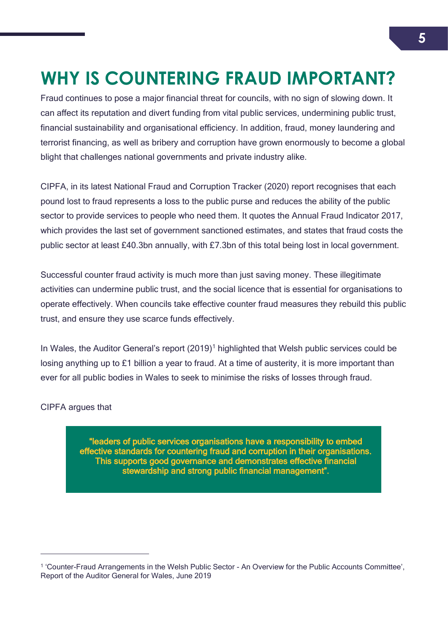# <span id="page-5-0"></span>**WHY IS COUNTERING FRAUD IMPORTANT?**

Fraud continues to pose a major financial threat for councils, with no sign of slowing down. It can affect its reputation and divert funding from vital public services, undermining public trust, financial sustainability and organisational efficiency. In addition, fraud, money laundering and terrorist financing, as well as bribery and corruption have grown enormously to become a global blight that challenges national governments and private industry alike.

CIPFA, in its latest National Fraud and Corruption Tracker (2020) report recognises that each pound lost to fraud represents a loss to the public purse and reduces the ability of the public sector to provide services to people who need them. It quotes the Annual Fraud Indicator 2017, which provides the last set of government sanctioned estimates, and states that fraud costs the public sector at least £40.3bn annually, with £7.3bn of this total being lost in local government.

Successful counter fraud activity is much more than just saving money. These illegitimate activities can undermine public trust, and the social licence that is essential for organisations to operate effectively. When councils take effective counter fraud measures they rebuild this public trust, and ensure they use scarce funds effectively.

In Wales, the Auditor General's report (2019)<sup>1</sup> highlighted that Welsh public services could be losing anything up to £1 billion a year to fraud. At a time of austerity, it is more important than ever for all public bodies in Wales to seek to minimise the risks of losses through fraud.

CIPFA argues that

 $\overline{a}$ 

"leaders of public services organisations have a responsibility to embed effective standards for countering fraud and corruption in their organisations. This supports good governance and demonstrates effective financial stewardship and strong public financial management".

<sup>1</sup> 'Counter-Fraud Arrangements in the Welsh Public Sector - An Overview for the Public Accounts Committee', Report of the Auditor General for Wales, June 2019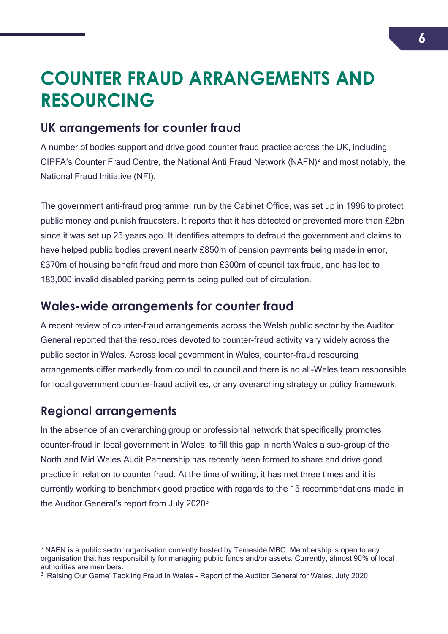## <span id="page-6-0"></span>**COUNTER FRAUD ARRANGEMENTS AND RESOURCING**

### <span id="page-6-1"></span>**UK arrangements for counter fraud**

A number of bodies support and drive good counter fraud practice across the UK, including CIPFA's Counter Fraud Centre, the National Anti Fraud Network (NAFN)<sup>2</sup> and most notably, the National Fraud Initiative (NFI).

The government anti-fraud programme, run by the Cabinet Office, was set up in 1996 to protect public money and punish fraudsters. It reports that it has detected or prevented more than £2bn since it was set up 25 years ago. It identifies attempts to defraud the government and claims to have helped public bodies prevent nearly £850m of pension payments being made in error, £370m of housing benefit fraud and more than £300m of council tax fraud, and has led to 183,000 invalid disabled parking permits being pulled out of circulation.

## <span id="page-6-2"></span>**Wales-wide arrangements for counter fraud**

A recent review of counter-fraud arrangements across the Welsh public sector by the Auditor General reported that the resources devoted to counter-fraud activity vary widely across the public sector in Wales. Across local government in Wales, counter-fraud resourcing arrangements differ markedly from council to council and there is no all-Wales team responsible for local government counter-fraud activities, or any overarching strategy or policy framework.

## <span id="page-6-3"></span>**Regional arrangements**

 $\overline{a}$ 

In the absence of an overarching group or professional network that specifically promotes counter-fraud in local government in Wales, to fill this gap in north Wales a sub-group of the North and Mid Wales Audit Partnership has recently been formed to share and drive good practice in relation to counter fraud. At the time of writing, it has met three times and it is currently working to benchmark good practice with regards to the 15 recommendations made in the Auditor General's report from July 2020<sup>3</sup>.

<sup>&</sup>lt;sup>2</sup> NAFN is a public sector organisation currently hosted by Tameside MBC. Membership is open to any organisation that has responsibility for managing public funds and/or assets. Currently, almost 90% of local authorities are members.

<sup>&</sup>lt;sup>3</sup> 'Raising Our Game' Tackling Fraud in Wales - Report of the Auditor General for Wales, July 2020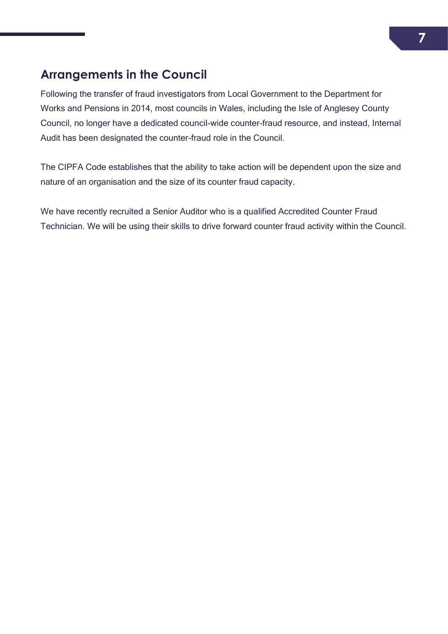## <span id="page-7-0"></span>**Arrangements in the Council**

Following the transfer of fraud investigators from Local Government to the Department for Works and Pensions in 2014, most councils in Wales, including the Isle of Anglesey County Council, no longer have a dedicated council-wide counter-fraud resource, and instead, Internal Audit has been designated the counter-fraud role in the Council.

The CIPFA Code establishes that the ability to take action will be dependent upon the size and nature of an organisation and the size of its counter fraud capacity.

We have recently recruited a Senior Auditor who is a qualified Accredited Counter Fraud Technician. We will be using their skills to drive forward counter fraud activity within the Council.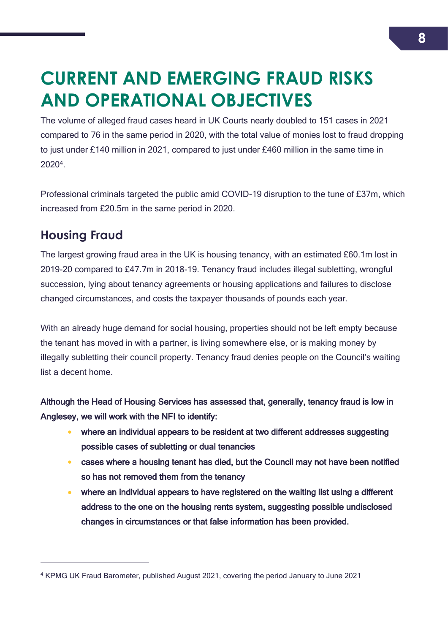## <span id="page-8-0"></span>**CURRENT AND EMERGING FRAUD RISKS AND OPERATIONAL OBJECTIVES**

The volume of alleged fraud cases heard in UK Courts nearly doubled to 151 cases in 2021 compared to 76 in the same period in 2020, with the total value of monies lost to fraud dropping to just under £140 million in 2021, compared to just under £460 million in the same time in 2020<sup>4</sup> .

Professional criminals targeted the public amid COVID-19 disruption to the tune of £37m, which increased from £20.5m in the same period in 2020.

## <span id="page-8-1"></span>**Housing Fraud**

 $\overline{a}$ 

The largest growing fraud area in the UK is housing tenancy, with an estimated £60.1m lost in 2019-20 compared to £47.7m in 2018-19. Tenancy fraud includes illegal subletting, wrongful succession, lying about tenancy agreements or housing applications and failures to disclose changed circumstances, and costs the taxpayer thousands of pounds each year.

With an already huge demand for social housing, properties should not be left empty because the tenant has moved in with a partner, is living somewhere else, or is making money by illegally subletting their council property. Tenancy fraud denies people on the Council's waiting list a decent home.

Although the Head of Housing Services has assessed that, generally, tenancy fraud is low in Anglesey, we will work with the NFI to identify:

- where an individual appears to be resident at two different addresses suggesting possible cases of subletting or dual tenancies
- cases where a housing tenant has died, but the Council may not have been notified so has not removed them from the tenancy
- where an individual appears to have registered on the waiting list using a different address to the one on the housing rents system, suggesting possible undisclosed changes in circumstances or that false information has been provided.

<sup>4</sup> KPMG UK Fraud Barometer, published August 2021, covering the period January to June 2021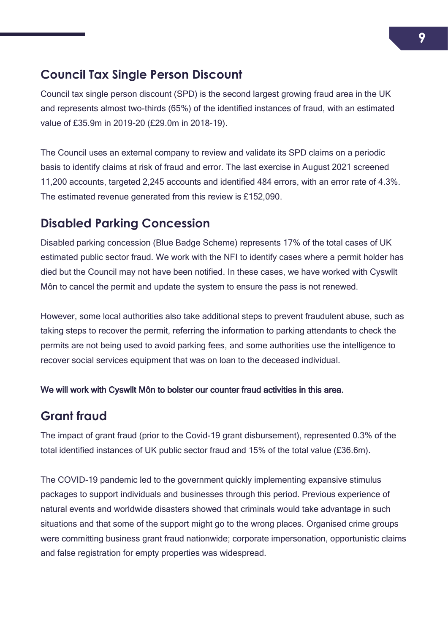## <span id="page-9-0"></span>**Council Tax Single Person Discount**

Council tax single person discount (SPD) is the second largest growing fraud area in the UK and represents almost two-thirds (65%) of the identified instances of fraud, with an estimated value of £35.9m in 2019-20 (£29.0m in 2018-19).

The Council uses an external company to review and validate its SPD claims on a periodic basis to identify claims at risk of fraud and error. The last exercise in August 2021 screened 11,200 accounts, targeted 2,245 accounts and identified 484 errors, with an error rate of 4.3%. The estimated revenue generated from this review is £152,090.

## <span id="page-9-1"></span>**Disabled Parking Concession**

Disabled parking concession (Blue Badge Scheme) represents 17% of the total cases of UK estimated public sector fraud. We work with the NFI to identify cases where a permit holder has died but the Council may not have been notified. In these cases, we have worked with Cyswllt Môn to cancel the permit and update the system to ensure the pass is not renewed.

However, some local authorities also take additional steps to prevent fraudulent abuse, such as taking steps to recover the permit, referring the information to parking attendants to check the permits are not being used to avoid parking fees, and some authorities use the intelligence to recover social services equipment that was on loan to the deceased individual.

We will work with Cyswllt Môn to bolster our counter fraud activities in this area.

## <span id="page-9-2"></span>**Grant fraud**

The impact of grant fraud (prior to the Covid-19 grant disbursement), represented 0.3% of the total identified instances of UK public sector fraud and 15% of the total value (£36.6m).

The COVID-19 pandemic led to the government quickly implementing expansive stimulus packages to support individuals and businesses through this period. Previous experience of natural events and worldwide disasters showed that criminals would take advantage in such situations and that some of the support might go to the wrong places. Organised crime groups were committing business grant fraud nationwide; corporate impersonation, opportunistic claims and false registration for empty properties was widespread.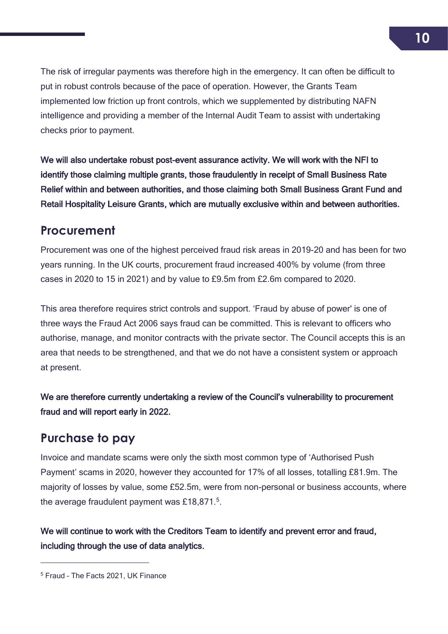The risk of irregular payments was therefore high in the emergency. It can often be difficult to put in robust controls because of the pace of operation. However, the Grants Team implemented low friction up front controls, which we supplemented by distributing NAFN intelligence and providing a member of the Internal Audit Team to assist with undertaking checks prior to payment.

We will also undertake robust post-event assurance activity. We will work with the NFI to identify those claiming multiple grants, those fraudulently in receipt of Small Business Rate Relief within and between authorities, and those claiming both Small Business Grant Fund and Retail Hospitality Leisure Grants, which are mutually exclusive within and between authorities.

### <span id="page-10-0"></span>**Procurement**

Procurement was one of the highest perceived fraud risk areas in 2019-20 and has been for two years running. In the UK courts, procurement fraud increased 400% by volume (from three cases in 2020 to 15 in 2021) and by value to £9.5m from £2.6m compared to 2020.

This area therefore requires strict controls and support. 'Fraud by abuse of power' is one of three ways the Fraud Act 2006 says fraud can be committed. This is relevant to officers who authorise, manage, and monitor contracts with the private sector. The Council accepts this is an area that needs to be strengthened, and that we do not have a consistent system or approach at present.

We are therefore currently undertaking a review of the Council's vulnerability to procurement fraud and will report early in 2022.

## <span id="page-10-1"></span>**Purchase to pay**

Invoice and mandate scams were only the sixth most common type of 'Authorised Push Payment' scams in 2020, however they accounted for 17% of all losses, totalling £81.9m. The majority of losses by value, some £52.5m, were from non-personal or business accounts, where the average fraudulent payment was £18,871. $5$ .

We will continue to work with the Creditors Team to identify and prevent error and fraud, including through the use of data analytics.

 $\overline{a}$ 

<sup>5</sup> Fraud – The Facts 2021, UK Finance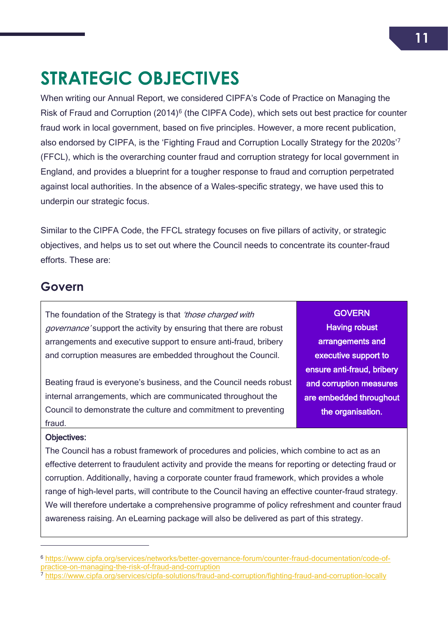## <span id="page-11-0"></span>**STRATEGIC OBJECTIVES**

When writing our Annual Report, we considered CIPFA's Code of Practice on Managing the Risk of Fraud and Corruption (2014)<sup>6</sup> (the CIPFA Code), which sets out best practice for counter fraud work in local government, based on five principles. However, a more recent publication, also endorsed by CIPFA, is the 'Fighting Fraud and Corruption Locally Strategy for the 2020s'<sup>7</sup> (FFCL), which is the overarching counter fraud and corruption strategy for local government in England, and provides a blueprint for a tougher response to fraud and corruption perpetrated against local authorities. In the absence of a Wales-specific strategy, we have used this to underpin our strategic focus.

Similar to the CIPFA Code, the FFCL strategy focuses on five pillars of activity, or strategic objectives, and helps us to set out where the Council needs to concentrate its counter-fraud efforts. These are:

### <span id="page-11-1"></span>**Govern**

The foundation of the Strategy is that *'those charged with* governance' support the activity by ensuring that there are robust arrangements and executive support to ensure anti-fraud, bribery and corruption measures are embedded throughout the Council.

Beating fraud is everyone's business, and the Council needs robust internal arrangements, which are communicated throughout the Council to demonstrate the culture and commitment to preventing fraud.

**GOVERN** Having robust arrangements and executive support to ensure anti-fraud, bribery and corruption measures are embedded throughout the organisation.

 $\overline{a}$ 

Objectives:

The Council has a robust framework of procedures and policies, which combine to act as an effective deterrent to fraudulent activity and provide the means for reporting or detecting fraud or corruption. Additionally, having a corporate counter fraud framework, which provides a whole range of high-level parts, will contribute to the Council having an effective counter-fraud strategy. We will therefore undertake a comprehensive programme of policy refreshment and counter fraud awareness raising. An eLearning package will also be delivered as part of this strategy.

<sup>6</sup> [https://www.cipfa.org/services/networks/better-governance-forum/counter-fraud-documentation/code-of](https://www.cipfa.org/services/networks/better-governance-forum/counter-fraud-documentation/code-of-practice-on-managing-the-risk-of-fraud-and-corruption)[practice-on-managing-the-risk-of-fraud-and-corruption](https://www.cipfa.org/services/networks/better-governance-forum/counter-fraud-documentation/code-of-practice-on-managing-the-risk-of-fraud-and-corruption)

<sup>7</sup> <https://www.cipfa.org/services/cipfa-solutions/fraud-and-corruption/fighting-fraud-and-corruption-locally>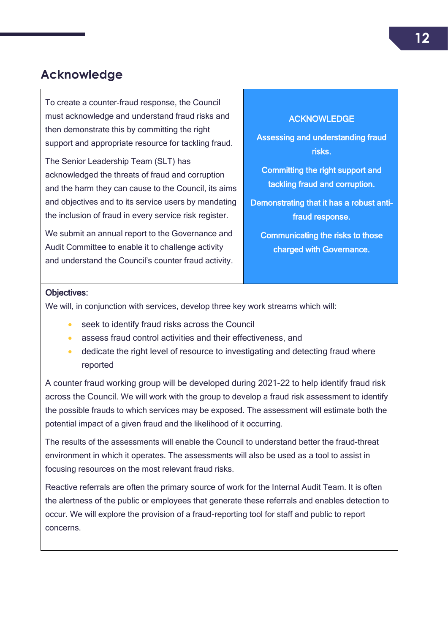## <span id="page-12-0"></span>**Acknowledge**

To create a counter-fraud response, the Council must acknowledge and understand fraud risks and then demonstrate this by committing the right support and appropriate resource for tackling fraud.

The Senior Leadership Team (SLT) has acknowledged the threats of fraud and corruption and the harm they can cause to the Council, its aims and objectives and to its service users by mandating the inclusion of fraud in every service risk register.

We submit an annual report to the Governance and Audit Committee to enable it to challenge activity and understand the Council's counter fraud activity.

#### ACKNOWLEDGE

Assessing and understanding fraud risks.

Committing the right support and tackling fraud and corruption.

Demonstrating that it has a robust antifraud response.

Communicating the risks to those charged with Governance.

#### Objectives:

We will, in conjunction with services, develop three key work streams which will:

- seek to identify fraud risks across the Council
- assess fraud control activities and their effectiveness, and
- dedicate the right level of resource to investigating and detecting fraud where reported

A counter fraud working group will be developed during 2021-22 to help identify fraud risk across the Council. We will work with the group to develop a fraud risk assessment to identify the possible frauds to which services may be exposed. The assessment will estimate both the potential impact of a given fraud and the likelihood of it occurring.

The results of the assessments will enable the Council to understand better the fraud-threat environment in which it operates. The assessments will also be used as a tool to assist in focusing resources on the most relevant fraud risks.

Reactive referrals are often the primary source of work for the Internal Audit Team. It is often the alertness of the public or employees that generate these referrals and enables detection to occur. We will explore the provision of a fraud-reporting tool for staff and public to report concerns.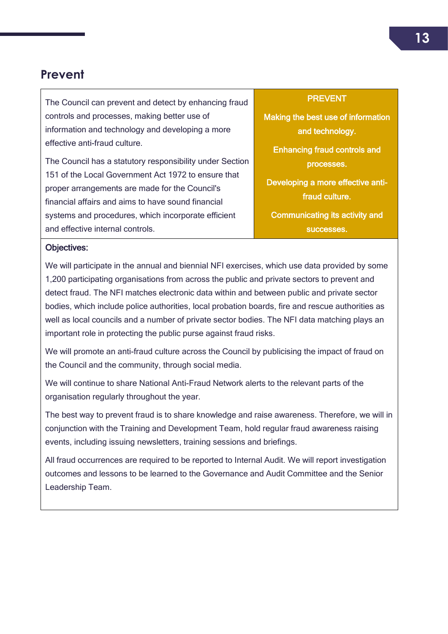## <span id="page-13-0"></span>**Prevent**

The Council can prevent and detect by enhancing fraud controls and processes, making better use of information and technology and developing a more effective anti-fraud culture.

The Council has a statutory responsibility under Section 151 of the Local Government Act 1972 to ensure that proper arrangements are made for the Council's financial affairs and aims to have sound financial systems and procedures, which incorporate efficient and effective internal controls.

#### **PREVENT**

Making the best use of information and technology.

Enhancing fraud controls and processes.

Developing a more effective antifraud culture.

Communicating its activity and successes.

#### Objectives:

We will participate in the annual and biennial NFI exercises, which use data provided by some 1,200 participating organisations from across the public and private sectors to prevent and detect fraud. The NFI matches electronic data within and between public and private sector bodies, which include police authorities, local probation boards, fire and rescue authorities as well as local councils and a number of private sector bodies. The NFI data matching plays an important role in protecting the public purse against fraud risks.

We will promote an anti-fraud culture across the Council by publicising the impact of fraud on the Council and the community, through social media.

We will continue to share National Anti-Fraud Network alerts to the relevant parts of the organisation regularly throughout the year.

The best way to prevent fraud is to share knowledge and raise awareness. Therefore, we will in conjunction with the Training and Development Team, hold regular fraud awareness raising events, including issuing newsletters, training sessions and briefings.

All fraud occurrences are required to be reported to Internal Audit. We will report investigation outcomes and lessons to be learned to the Governance and Audit Committee and the Senior Leadership Team.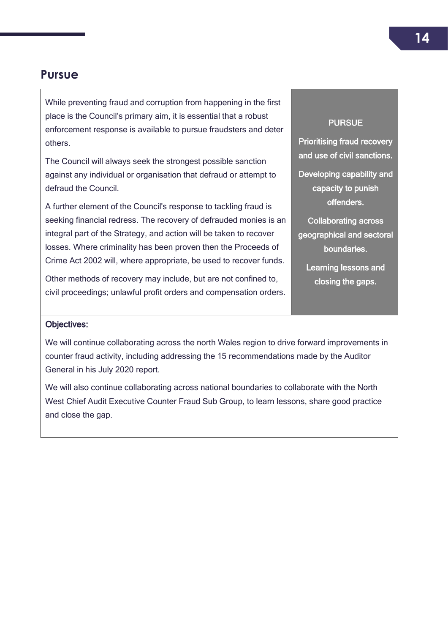### <span id="page-14-0"></span>**Pursue**

While preventing fraud and corruption from happening in the first place is the Council's primary aim, it is essential that a robust enforcement response is available to pursue fraudsters and deter others.

The Council will always seek the strongest possible sanction against any individual or organisation that defraud or attempt to defraud the Council.

A further element of the Council's response to tackling fraud is seeking financial redress. The recovery of defrauded monies is an integral part of the Strategy, and action will be taken to recover losses. Where criminality has been proven then the Proceeds of Crime Act 2002 will, where appropriate, be used to recover funds.

Other methods of recovery may include, but are not confined to, civil proceedings; unlawful profit orders and compensation orders.

#### **PURSUE**

Prioritising fraud recovery and use of civil sanctions.

Developing capability and capacity to punish offenders.

Collaborating across geographical and sectoral boundaries.

Learning lessons and closing the gaps.

#### Objectives:

We will continue collaborating across the north Wales region to drive forward improvements in counter fraud activity, including addressing the 15 recommendations made by the Auditor General in his July 2020 report.

We will also continue collaborating across national boundaries to collaborate with the North West Chief Audit Executive Counter Fraud Sub Group, to learn lessons, share good practice and close the gap.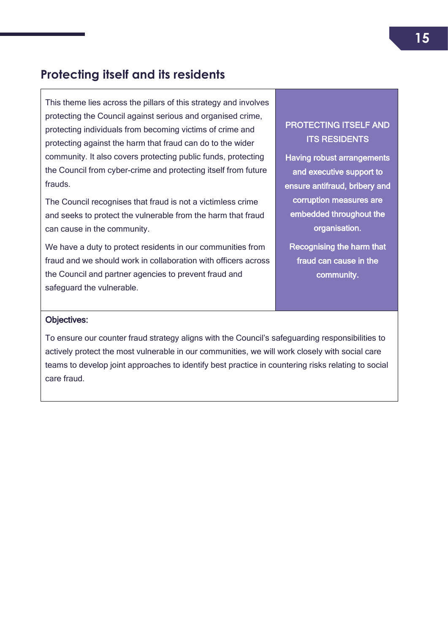## <span id="page-15-0"></span>**Protecting itself and its residents**

This theme lies across the pillars of this strategy and involves protecting the Council against serious and organised crime, protecting individuals from becoming victims of crime and protecting against the harm that fraud can do to the wider community. It also covers protecting public funds, protecting the Council from cyber-crime and protecting itself from future frauds.

The Council recognises that fraud is not a victimless crime and seeks to protect the vulnerable from the harm that fraud can cause in the community.

We have a duty to protect residents in our communities from fraud and we should work in collaboration with officers across the Council and partner agencies to prevent fraud and safeguard the vulnerable.

#### PROTECTING ITSELF AND ITS RESIDENTS

Having robust arrangements and executive support to ensure antifraud, bribery and corruption measures are embedded throughout the organisation.

Recognising the harm that fraud can cause in the community.

#### Objectives:

To ensure our counter fraud strategy aligns with the Council's safeguarding responsibilities to actively protect the most vulnerable in our communities, we will work closely with social care teams to develop joint approaches to identify best practice in countering risks relating to social care fraud.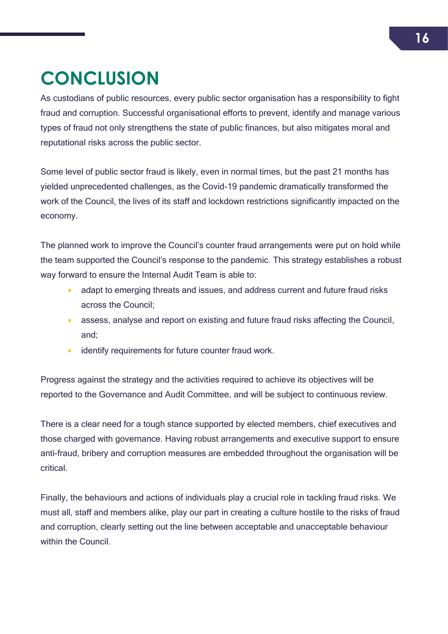# <span id="page-16-0"></span>**CONCLUSION**

As custodians of public resources, every public sector organisation has a responsibility to fight fraud and corruption. Successful organisational efforts to prevent, identify and manage various types of fraud not only strengthens the state of public finances, but also mitigates moral and reputational risks across the public sector.

Some level of public sector fraud is likely, even in normal times, but the past 21 months has yielded unprecedented challenges, as the Covid-19 pandemic dramatically transformed the work of the Council, the lives of its staff and lockdown restrictions significantly impacted on the economy.

The planned work to improve the Council's counter fraud arrangements were put on hold while the team supported the Council's response to the pandemic. This strategy establishes a robust way forward to ensure the Internal Audit Team is able to:

- adapt to emerging threats and issues, and address current and future fraud risks across the Council;
- assess, analyse and report on existing and future fraud risks affecting the Council, and;
- **•** identify requirements for future counter fraud work.

Progress against the strategy and the activities required to achieve its objectives will be reported to the Governance and Audit Committee, and will be subject to continuous review.

There is a clear need for a tough stance supported by elected members, chief executives and those charged with governance. Having robust arrangements and executive support to ensure anti-fraud, bribery and corruption measures are embedded throughout the organisation will be critical.

Finally, the behaviours and actions of individuals play a crucial role in tackling fraud risks. We must all, staff and members alike, play our part in creating a culture hostile to the risks of fraud and corruption, clearly setting out the line between acceptable and unacceptable behaviour within the Council.